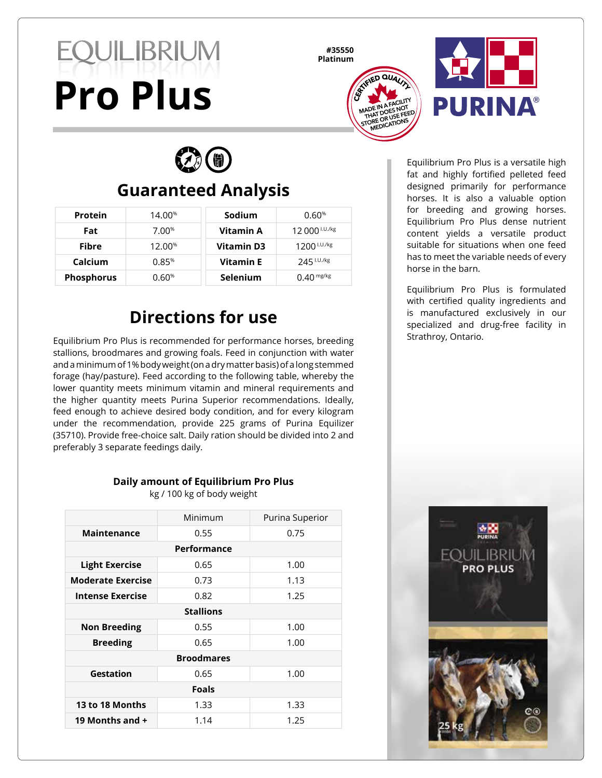# **EQUILIBRIUM Pro Plus**

**#35550**





 $\mathcal{D}^{\left( n\right) }$ 

# **Guaranteed Analysis**

| Protein           | 14.00 <sup>%</sup> | Sodium            | 0.60%                     |
|-------------------|--------------------|-------------------|---------------------------|
| Fat               | $7.00\%$           | Vitamin A         | 12 000 <sup>I.U./kg</sup> |
| Fibre             | 12.00%             | <b>Vitamin D3</b> | $1200$ $1.07$ $\mu$       |
| Calcium           | 0.85%              | <b>Vitamin E</b>  | 245 I.U./kg               |
| <b>Phosphorus</b> | $0.60\%$           | <b>Selenium</b>   | $0.40$ mg/kg              |

#### **Directions for use**

Equilibrium Pro Plus is recommended for performance horses, breeding stallions, broodmares and growing foals. Feed in conjunction with water and a minimum of 1% body weight (on a dry matter basis) of a long stemmed forage (hay/pasture). Feed according to the following table, whereby the lower quantity meets minimum vitamin and mineral requirements and the higher quantity meets Purina Superior recommendations. Ideally, feed enough to achieve desired body condition, and for every kilogram under the recommendation, provide 225 grams of Purina Equilizer (35710). Provide free-choice salt. Daily ration should be divided into 2 and preferably 3 separate feedings daily.

#### **Daily amount of Equilibrium Pro Plus**

kg / 100 kg of body weight

|                          | Minimum | Purina Superior |  |  |
|--------------------------|---------|-----------------|--|--|
| <b>Maintenance</b>       | 0.55    | 0.75            |  |  |
| Performance              |         |                 |  |  |
| <b>Light Exercise</b>    | 0.65    | 1.00            |  |  |
| <b>Moderate Exercise</b> | 0.73    | 1.13            |  |  |
| Intense Exercise         | 0.82    | 1.25            |  |  |
| <b>Stallions</b>         |         |                 |  |  |
| <b>Non Breeding</b>      | 0.55    | 1.00            |  |  |
| <b>Breeding</b>          | 0.65    | 1.00            |  |  |
| <b>Broodmares</b>        |         |                 |  |  |
| Gestation                | 0.65    | 1.00            |  |  |
| <b>Foals</b>             |         |                 |  |  |
| 13 to 18 Months          | 1.33    | 1.33            |  |  |
| 19 Months and +          | 1.14    | 1.25            |  |  |

Equilibrium Pro Plus is a versatile high fat and highly fortified pelleted feed designed primarily for performance horses. It is also a valuable option for breeding and growing horses. Equilibrium Pro Plus dense nutrient content yields a versatile product suitable for situations when one feed has to meet the variable needs of every horse in the barn.

Equilibrium Pro Plus is formulated with certified quality ingredients and is manufactured exclusively in our specialized and drug-free facility in Strathroy, Ontario.